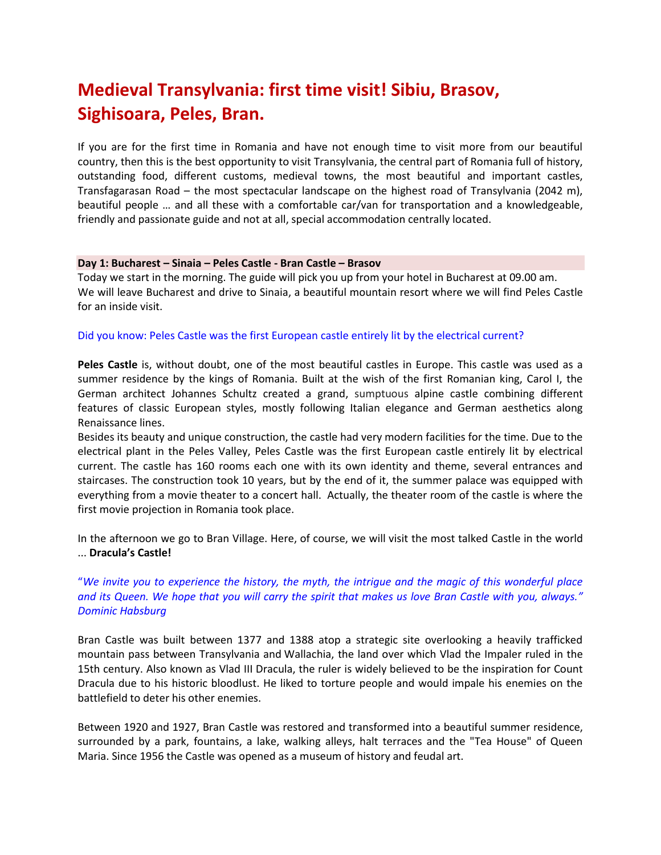# **Medieval Transylvania: first time visit! Sibiu, Brasov, Sighisoara, Peles, Bran.**

If you are for the first time in Romania and have not enough time to visit more from our beautiful country, then this is the best opportunity to visit Transylvania, the central part of Romania full of history, outstanding food, different customs, medieval towns, the most beautiful and important castles, Transfagarasan Road – the most spectacular landscape on the highest road of Transylvania (2042 m), beautiful people … and all these with a comfortable car/van for transportation and a knowledgeable, friendly and passionate guide and not at all, special accommodation centrally located.

#### **Day 1: Bucharest – Sinaia – Peles Castle - Bran Castle – Brasov**

Today we start in the morning. The guide will pick you up from your hotel in Bucharest at 09.00 am. We will leave Bucharest and drive to Sinaia, a beautiful mountain resort where we will find Peles Castle for an inside visit.

#### Did you know: Peles Castle was the first European castle entirely lit by the electrical current?

**Peles Castle** is, without doubt, one of the most beautiful castles in Europe. This castle was used as a summer residence by the kings of Romania. Built at the wish of the first Romanian king, Carol I, the German architect Johannes Schultz created a grand, sumptuous alpine castle combining different features of classic European styles, mostly following Italian elegance and German aesthetics along Renaissance lines.

Besides its beauty and unique construction, the castle had very modern facilities for the time. Due to the electrical plant in the Peles Valley, Peles Castle was the first European castle entirely lit by electrical current. The castle has 160 rooms each one with its own identity and theme, several entrances and staircases. The construction took 10 years, but by the end of it, the summer palace was equipped with everything from a movie theater to a concert hall. Actually, the theater room of the castle is where the first movie projection in Romania took place.

In the afternoon we go to Bran Village. Here, of course, we will visit the most talked Castle in the world ... **Dracula's Castle!**

"*We invite you to experience the history, the myth, the intrigue and the magic of this wonderful place and its Queen. We hope that you will carry the spirit that makes us love Bran Castle with you, always." Dominic [Habsburg](http://www.bran-castle.com/welcome.html)*

Bran Castle was built between 1377 and 1388 atop a strategic site overlooking a heavily trafficked mountain pass between Transylvania and Wallachia, the land over which Vlad the Impaler ruled in the 15th century. Also known as Vlad III Dracula, the ruler is widely believed to be the inspiration for Count Dracula due to his historic bloodlust. He liked to torture people and would impale his enemies on the battlefield to deter his other enemies.

Between 1920 and 1927, Bran Castle was restored and transformed into a beautiful summer residence, surrounded by a park, fountains, a lake, walking alleys, halt terraces and the "Tea House" of Queen Maria. Since 1956 the Castle was opened as a museum of history and feudal art.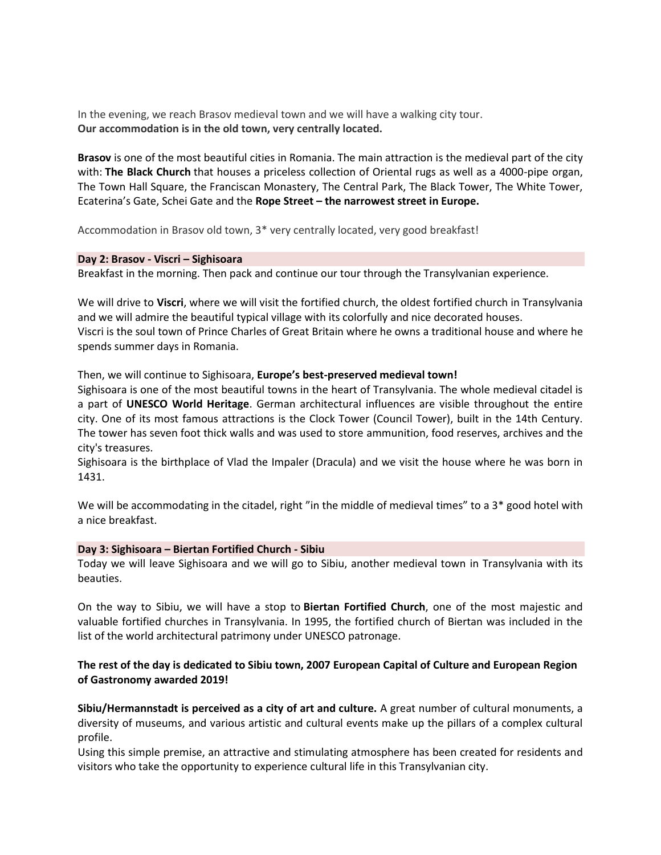In the evening, we reach Brasov medieval town and we will have a walking city tour. **Our accommodation is in the old town, very centrally located.** 

**Brasov** is one of the most beautiful cities in Romania. The main attraction is the medieval part of the city with: **The Black Church** that houses a priceless collection of Oriental rugs as well as a 4000-pipe organ, The Town Hall Square, the Franciscan Monastery, The Central Park, The Black Tower, The White Tower, Ecaterina's Gate, Schei Gate and the **Rope Street – the narrowest street in Europe.**

Accommodation in Brasov old town, 3\* very centrally located, very good breakfast!

#### **Day 2: Brasov - Viscri – Sighisoara**

Breakfast in the morning. Then pack and continue our tour through the Transylvanian experience.

We will drive to **Viscri**, where we will visit the fortified church, the oldest fortified church in Transylvania and we will admire the beautiful typical village with its colorfully and nice decorated houses. Viscri is the soul town of Prince Charles of Great Britain where he owns a traditional house and where he spends summer days in Romania.

## Then, we will continue to Sighisoara, **Europe's best-preserved medieval town!**

Sighisoara is one of the most beautiful towns in the heart of Transylvania. The whole medieval citadel is a part of **UNESCO World Heritage**. German architectural influences are visible throughout the entire city. One of its most famous attractions is the Clock Tower (Council Tower), built in the 14th Century. The tower has seven foot thick walls and was used to store ammunition, food reserves, archives and the city's treasures.

Sighisoara is the birthplace of Vlad the Impaler (Dracula) and we visit the house where he was born in 1431.

We will be accommodating in the citadel, right "in the middle of medieval times" to a 3<sup>\*</sup> good hotel with a nice breakfast.

#### **Day 3: Sighisoara – Biertan Fortified Church - Sibiu**

Today we will leave Sighisoara and we will go to Sibiu, another medieval town in Transylvania with its beauties.

On the way to Sibiu, we will have a stop to **Biertan Fortified Church**, one of the most majestic and valuable fortified churches in Transylvania. In 1995, the fortified church of Biertan was included in the list of the world architectural patrimony under UNESCO patronage.

# **The rest of the day is dedicated to Sibiu town, 2007 European Capital of Culture and European Region of Gastronomy awarded 2019!**

**Sibiu/Hermannstadt is perceived as a city of art and culture.** A great number of cultural monuments, a diversity of museums, and various artistic and cultural events make up the pillars of a complex cultural profile.

Using this simple premise, an attractive and stimulating atmosphere has been created for residents and visitors who take the opportunity to experience cultural life in this Transylvanian city.